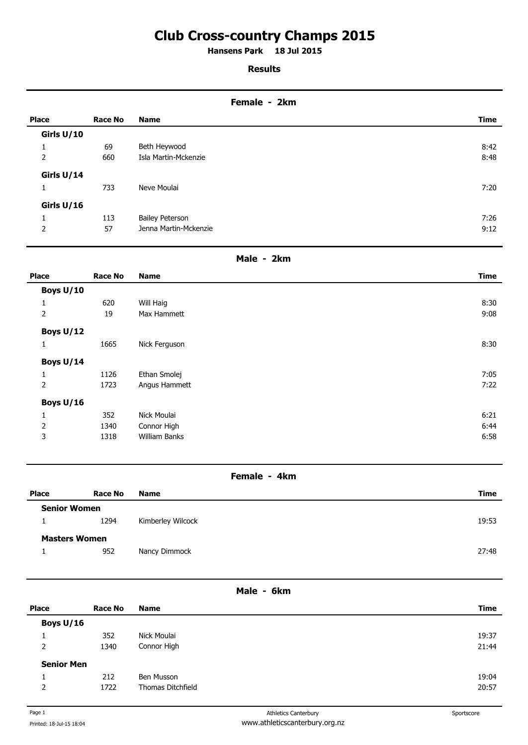# **Club Cross-country Champs 2015**

**Hansens Park 18 Jul 2015 .** 

## **Results**

#### **Female - 2km**

| <b>Place</b> | <b>Race No</b> | <b>Name</b>            | <b>Time</b> |
|--------------|----------------|------------------------|-------------|
| Girls U/10   |                |                        |             |
| 1            | 69             | Beth Heywood           | 8:42        |
| 2            | 660            | Isla Martin-Mckenzie   | 8:48        |
| Girls U/14   |                |                        |             |
| 1            | 733            | Neve Moulai            | 7:20        |
| Girls U/16   |                |                        |             |
|              | 113            | <b>Bailey Peterson</b> | 7:26        |
| 2            | 57             | Jenna Martin-Mckenzie  | 9:12        |

## **Male - 2km**

| <b>Place</b>   | <b>Race No</b> | <b>Name</b>   | Time |
|----------------|----------------|---------------|------|
| Boys U/10      |                |               |      |
| 1              | 620            | Will Haig     | 8:30 |
| $\overline{2}$ | 19             | Max Hammett   | 9:08 |
| Boys U/12      |                |               |      |
| $\mathbf{1}$   | 1665           | Nick Ferguson | 8:30 |
| Boys U/14      |                |               |      |
| 1              | 1126           | Ethan Smolej  | 7:05 |
| $\overline{2}$ | 1723           | Angus Hammett | 7:22 |
| Boys U/16      |                |               |      |
| $\mathbf{1}$   | 352            | Nick Moulai   | 6:21 |
| $\mathbf 2$    | 1340           | Connor High   | 6:44 |
| 3              | 1318           | William Banks | 6:58 |

# **Female - 4km**

| <b>Place</b>         | Race No | <b>Name</b>       | Time  |
|----------------------|---------|-------------------|-------|
| <b>Senior Women</b>  |         |                   |       |
|                      | 1294    | Kimberley Wilcock | 19:53 |
| <b>Masters Women</b> |         |                   |       |
|                      | 952     | Nancy Dimmock     | 27:48 |
|                      |         |                   |       |

#### **Male - 6km**

| <b>Place</b>      | Race No | <b>Name</b>              | Time  |
|-------------------|---------|--------------------------|-------|
| Boys U/16         |         |                          |       |
|                   | 352     | Nick Moulai              | 19:37 |
| 2                 | 1340    | Connor High              | 21:44 |
| <b>Senior Men</b> |         |                          |       |
| ÷.                | 212     | Ben Musson               | 19:04 |
| $\overline{2}$    | 1722    | <b>Thomas Ditchfield</b> | 20:57 |